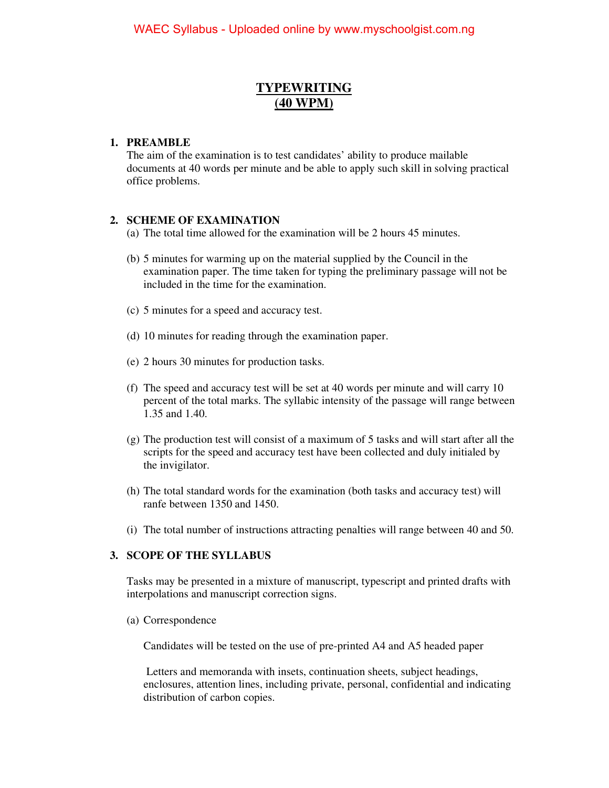## **TYPEWRITING (40 WPM)**

### **1. PREAMBLE**

The aim of the examination is to test candidates' ability to produce mailable documents at 40 words per minute and be able to apply such skill in solving practical office problems.

## **2. SCHEME OF EXAMINATION**

(a) The total time allowed for the examination will be 2 hours 45 minutes.

- (b) 5 minutes for warming up on the material supplied by the Council in the examination paper. The time taken for typing the preliminary passage will not be included in the time for the examination.
- (c) 5 minutes for a speed and accuracy test.
- (d) 10 minutes for reading through the examination paper.
- (e) 2 hours 30 minutes for production tasks.
- (f) The speed and accuracy test will be set at 40 words per minute and will carry 10 percent of the total marks. The syllabic intensity of the passage will range between 1.35 and 1.40.
- (g) The production test will consist of a maximum of 5 tasks and will start after all the scripts for the speed and accuracy test have been collected and duly initialed by the invigilator.
- (h) The total standard words for the examination (both tasks and accuracy test) will ranfe between 1350 and 1450.
- (i) The total number of instructions attracting penalties will range between 40 and 50.

#### **3. SCOPE OF THE SYLLABUS**

Tasks may be presented in a mixture of manuscript, typescript and printed drafts with interpolations and manuscript correction signs.

(a) Correspondence

Candidates will be tested on the use of pre-printed A4 and A5 headed paper

 Letters and memoranda with insets, continuation sheets, subject headings, enclosures, attention lines, including private, personal, confidential and indicating distribution of carbon copies.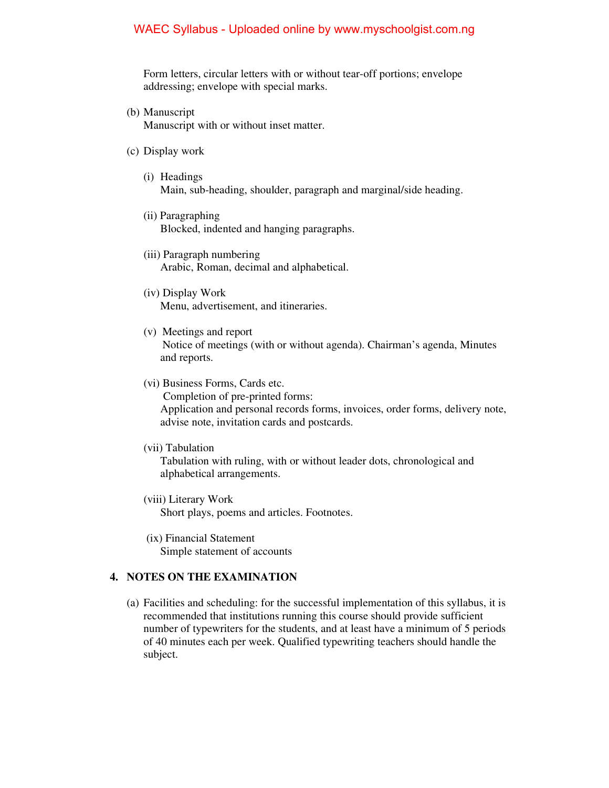## WAEC Syllabus - Uploaded online by www.myschoolgist.com.ng

Form letters, circular letters with or without tear-off portions; envelope addressing; envelope with special marks.

- (b) Manuscript Manuscript with or without inset matter.
- (c) Display work
	- (i) Headings Main, sub-heading, shoulder, paragraph and marginal/side heading.
	- (ii) Paragraphing Blocked, indented and hanging paragraphs.
	- (iii) Paragraph numbering Arabic, Roman, decimal and alphabetical.
	- (iv) Display Work Menu, advertisement, and itineraries.
	- (v) Meetings and report Notice of meetings (with or without agenda). Chairman's agenda, Minutes and reports.
	- (vi) Business Forms, Cards etc.

Completion of pre-printed forms:

Application and personal records forms, invoices, order forms, delivery note, advise note, invitation cards and postcards.

(vii) Tabulation

Tabulation with ruling, with or without leader dots, chronological and alphabetical arrangements.

- (viii) Literary Work Short plays, poems and articles. Footnotes.
- (ix) Financial Statement Simple statement of accounts

#### **4. NOTES ON THE EXAMINATION**

(a) Facilities and scheduling: for the successful implementation of this syllabus, it is recommended that institutions running this course should provide sufficient number of typewriters for the students, and at least have a minimum of 5 periods of 40 minutes each per week. Qualified typewriting teachers should handle the subject.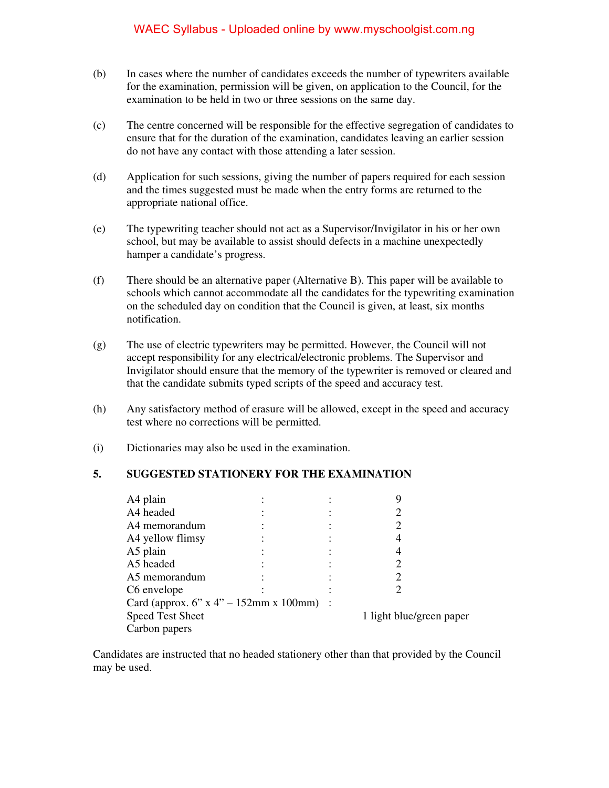## WAEC Syllabus - Uploaded online by www.myschoolgist.com.ng

- (b) In cases where the number of candidates exceeds the number of typewriters available for the examination, permission will be given, on application to the Council, for the examination to be held in two or three sessions on the same day.
- (c) The centre concerned will be responsible for the effective segregation of candidates to ensure that for the duration of the examination, candidates leaving an earlier session do not have any contact with those attending a later session.
- (d) Application for such sessions, giving the number of papers required for each session and the times suggested must be made when the entry forms are returned to the appropriate national office.
- (e) The typewriting teacher should not act as a Supervisor/Invigilator in his or her own school, but may be available to assist should defects in a machine unexpectedly hamper a candidate's progress.
- (f) There should be an alternative paper (Alternative B). This paper will be available to schools which cannot accommodate all the candidates for the typewriting examination on the scheduled day on condition that the Council is given, at least, six months notification.
- (g) The use of electric typewriters may be permitted. However, the Council will not accept responsibility for any electrical/electronic problems. The Supervisor and Invigilator should ensure that the memory of the typewriter is removed or cleared and that the candidate submits typed scripts of the speed and accuracy test.
- (h) Any satisfactory method of erasure will be allowed, except in the speed and accuracy test where no corrections will be permitted.
- (i) Dictionaries may also be used in the examination.

#### **5. SUGGESTED STATIONERY FOR THE EXAMINATION**

| A4 plain                                 |  |  |                          |
|------------------------------------------|--|--|--------------------------|
| A4 headed                                |  |  |                          |
| A4 memorandum                            |  |  |                          |
| A4 yellow flimsy                         |  |  |                          |
| A5 plain                                 |  |  |                          |
| A5 headed                                |  |  |                          |
| A5 memorandum                            |  |  |                          |
| C6 envelope                              |  |  |                          |
| Card (approx. 6" x 4" – 152mm x 100mm) : |  |  |                          |
| <b>Speed Test Sheet</b>                  |  |  | 1 light blue/green paper |
| Carbon papers                            |  |  |                          |

Candidates are instructed that no headed stationery other than that provided by the Council may be used.